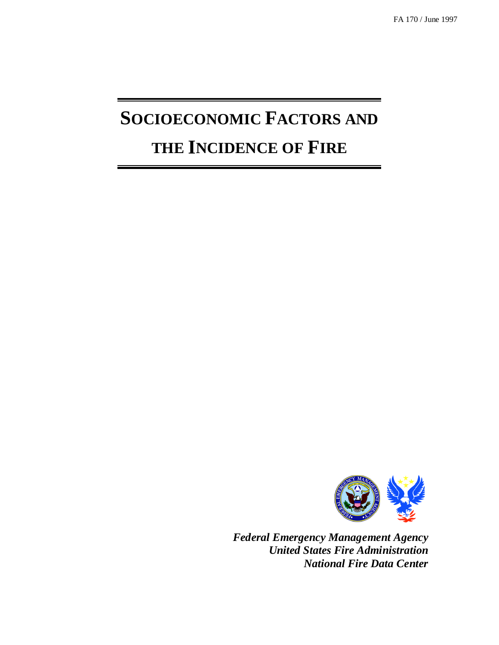# **SOCIOECONOMIC FACTORS AND THE INCIDENCE OF FIRE**



*Federal Emergency Management Agency United States Fire Administration National Fire Data Center*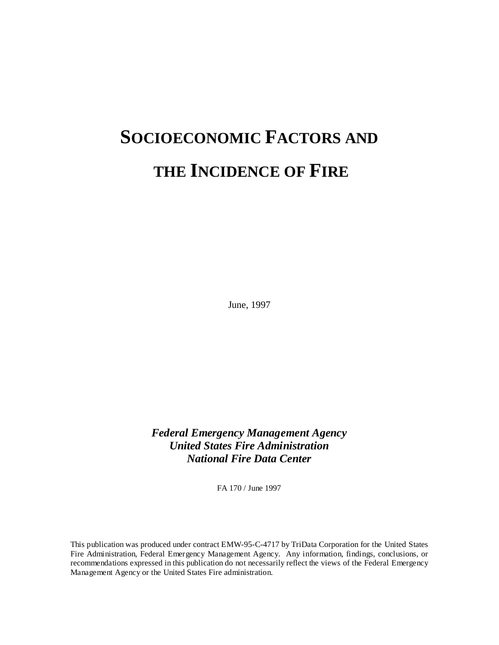# **SOCIOECONOMIC FACTORS AND THE INCIDENCE OF FIRE**

June, 1997

*Federal Emergency Management Agency United States Fire Administration National Fire Data Center*

FA 170 / June 1997

This publication was produced under contract EMW-95-C-4717 by TriData Corporation for the United States Fire Administration, Federal Emergency Management Agency. Any information, findings, conclusions, or recommendations expressed in this publication do not necessarily reflect the views of the Federal Emergency Management Agency or the United States Fire administration.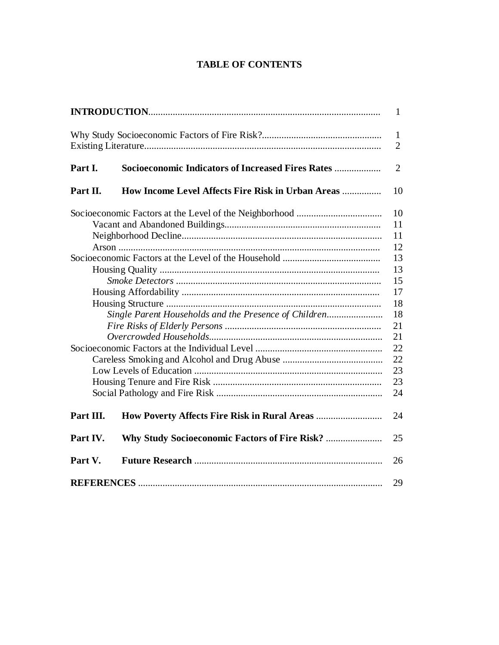# **TABLE OF CONTENTS**

|                                                       |                                                           | $\mathbf{1}$                   |  |
|-------------------------------------------------------|-----------------------------------------------------------|--------------------------------|--|
|                                                       |                                                           | $\mathbf{1}$<br>$\overline{2}$ |  |
| Part I.                                               | <b>Socioeconomic Indicators of Increased Fires Rates </b> | $\overline{2}$                 |  |
| Part II.                                              | How Income Level Affects Fire Risk in Urban Areas         | 10                             |  |
|                                                       |                                                           | 10                             |  |
|                                                       |                                                           |                                |  |
|                                                       |                                                           |                                |  |
|                                                       |                                                           |                                |  |
|                                                       |                                                           |                                |  |
|                                                       |                                                           |                                |  |
|                                                       |                                                           |                                |  |
|                                                       |                                                           |                                |  |
|                                                       |                                                           |                                |  |
| Single Parent Households and the Presence of Children |                                                           |                                |  |
|                                                       |                                                           |                                |  |
|                                                       |                                                           |                                |  |
|                                                       |                                                           |                                |  |
|                                                       |                                                           |                                |  |
|                                                       |                                                           | 23                             |  |
|                                                       |                                                           |                                |  |
|                                                       |                                                           | 24                             |  |
| Part III.                                             |                                                           | 24                             |  |
| Part IV.                                              | Why Study Socioeconomic Factors of Fire Risk?             | 25                             |  |
| Part V.                                               |                                                           | 26                             |  |
|                                                       |                                                           |                                |  |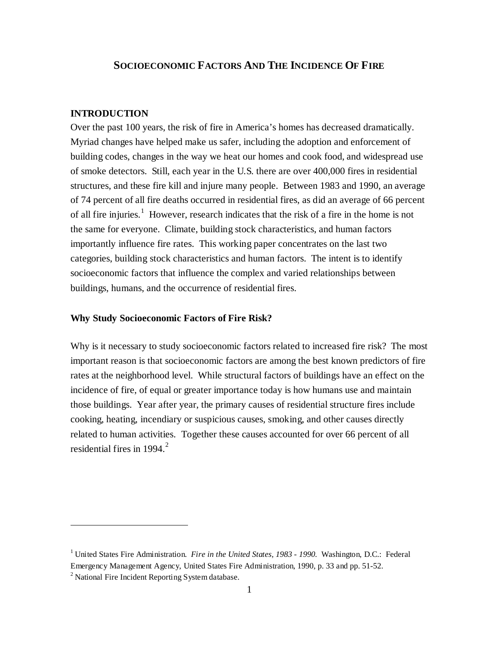## **SOCIOECONOMIC FACTORS AND THE INCIDENCE OF FIRE**

### **INTRODUCTION**

Over the past 100 years, the risk of fire in America's homes has decreased dramatically. Myriad changes have helped make us safer, including the adoption and enforcement of building codes, changes in the way we heat our homes and cook food, and widespread use of smoke detectors. Still, each year in the U.S. there are over 400,000 fires in residential structures, and these fire kill and injure many people. Between 1983 and 1990, an average of 74 percent of all fire deaths occurred in residential fires, as did an average of 66 percent of all fire injuries.<sup>1</sup> However, research indicates that the risk of a fire in the home is not the same for everyone. Climate, building stock characteristics, and human factors importantly influence fire rates. This working paper concentrates on the last two categories, building stock characteristics and human factors. The intent is to identify socioeconomic factors that influence the complex and varied relationships between buildings, humans, and the occurrence of residential fires.

#### **Why Study Socioeconomic Factors of Fire Risk?**

Why is it necessary to study socioeconomic factors related to increased fire risk? The most important reason is that socioeconomic factors are among the best known predictors of fire rates at the neighborhood level. While structural factors of buildings have an effect on the incidence of fire, of equal or greater importance today is how humans use and maintain those buildings. Year after year, the primary causes of residential structure fires include cooking, heating, incendiary or suspicious causes, smoking, and other causes directly related to human activities. Together these causes accounted for over 66 percent of all residential fires in 1994. $<sup>2</sup>$ </sup>

<sup>&</sup>lt;sup>1</sup> United States Fire Administration. *Fire in the United States, 1983 - 1990*. Washington, D.C.: Federal Emergency Management Agency, United States Fire Administration, 1990, p. 33 and pp. 51-52.

<sup>&</sup>lt;sup>2</sup> National Fire Incident Reporting System database.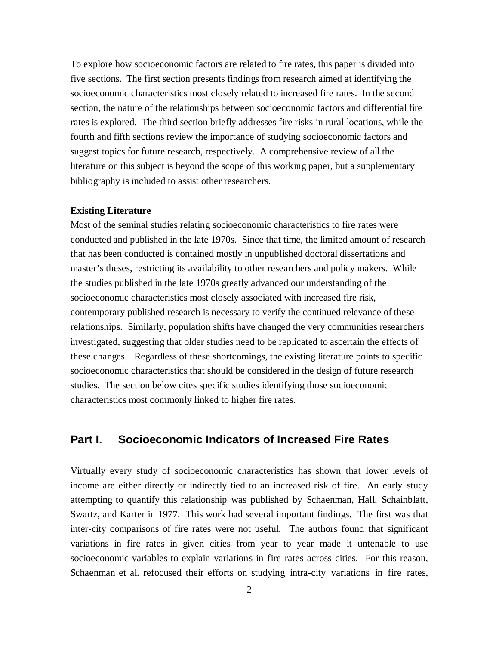To explore how socioeconomic factors are related to fire rates, this paper is divided into five sections. The first section presents findings from research aimed at identifying the socioeconomic characteristics most closely related to increased fire rates. In the second section, the nature of the relationships between socioeconomic factors and differential fire rates is explored. The third section briefly addresses fire risks in rural locations, while the fourth and fifth sections review the importance of studying socioeconomic factors and suggest topics for future research, respectively. A comprehensive review of all the literature on this subject is beyond the scope of this working paper, but a supplementary bibliography is included to assist other researchers.

#### **Existing Literature**

Most of the seminal studies relating socioeconomic characteristics to fire rates were conducted and published in the late 1970s. Since that time, the limited amount of research that has been conducted is contained mostly in unpublished doctoral dissertations and master's theses, restricting its availability to other researchers and policy makers. While the studies published in the late 1970s greatly advanced our understanding of the socioeconomic characteristics most closely associated with increased fire risk, contemporary published research is necessary to verify the continued relevance of these relationships. Similarly, population shifts have changed the very communities researchers investigated, suggesting that older studies need to be replicated to ascertain the effects of these changes. Regardless of these shortcomings, the existing literature points to specific socioeconomic characteristics that should be considered in the design of future research studies. The section below cites specific studies identifying those socioeconomic characteristics most commonly linked to higher fire rates.

# **Part I. Socioeconomic Indicators of Increased Fire Rates**

Virtually every study of socioeconomic characteristics has shown that lower levels of income are either directly or indirectly tied to an increased risk of fire. An early study attempting to quantify this relationship was published by Schaenman, Hall, Schainblatt, Swartz, and Karter in 1977. This work had several important findings. The first was that inter-city comparisons of fire rates were not useful. The authors found that significant variations in fire rates in given cities from year to year made it untenable to use socioeconomic variables to explain variations in fire rates across cities. For this reason, Schaenman et al. refocused their efforts on studying intra-city variations in fire rates,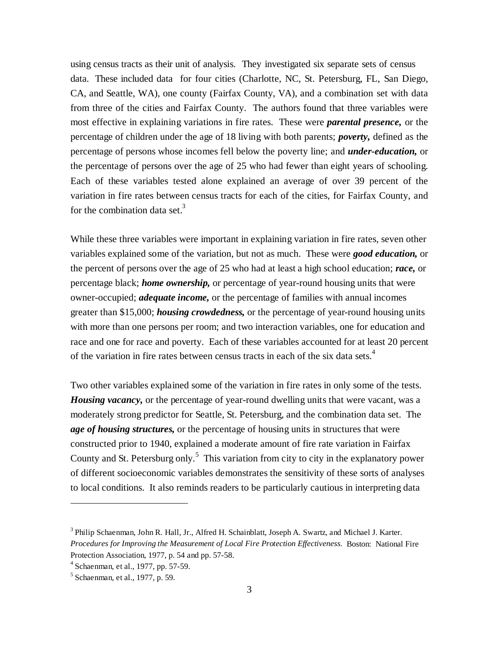using census tracts as their unit of analysis. They investigated six separate sets of census data. These included data for four cities (Charlotte, NC, St. Petersburg, FL, San Diego, CA, and Seattle, WA), one county (Fairfax County, VA), and a combination set with data from three of the cities and Fairfax County. The authors found that three variables were most effective in explaining variations in fire rates. These were *parental presence,* or the percentage of children under the age of 18 living with both parents; *poverty,* defined as the percentage of persons whose incomes fell below the poverty line; and *under-education,* or the percentage of persons over the age of 25 who had fewer than eight years of schooling. Each of these variables tested alone explained an average of over 39 percent of the variation in fire rates between census tracts for each of the cities, for Fairfax County, and for the combination data set.<sup>3</sup>

While these three variables were important in explaining variation in fire rates, seven other variables explained some of the variation, but not as much. These were *good education,* or the percent of persons over the age of 25 who had at least a high school education; *race,* or percentage black; *home ownership,* or percentage of year-round housing units that were owner-occupied; *adequate income,* or the percentage of families with annual incomes greater than \$15,000; *housing crowdedness,* or the percentage of year-round housing units with more than one persons per room; and two interaction variables, one for education and race and one for race and poverty. Each of these variables accounted for at least 20 percent of the variation in fire rates between census tracts in each of the six data sets.<sup>4</sup>

Two other variables explained some of the variation in fire rates in only some of the tests. *Housing vacancy*, or the percentage of year-round dwelling units that were vacant, was a moderately strong predictor for Seattle, St. Petersburg, and the combination data set. The *age of housing structures,* or the percentage of housing units in structures that were constructed prior to 1940, explained a moderate amount of fire rate variation in Fairfax County and St. Petersburg only.<sup>5</sup> This variation from city to city in the explanatory power of different socioeconomic variables demonstrates the sensitivity of these sorts of analyses to local conditions. It also reminds readers to be particularly cautious in interpreting data

<sup>3</sup> Philip Schaenman, John R. Hall, Jr., Alfred H. Schainblatt, Joseph A. Swartz, and Michael J. Karter*. Procedures for Improving the Measurement of Local Fire Protection Effectiveness.* Boston: National Fire Protection Association, 1977, p. 54 and pp. 57-58.

<sup>4</sup> Schaenman, et al., 1977, pp. 57-59.

<sup>5</sup> Schaenman, et al., 1977, p. 59.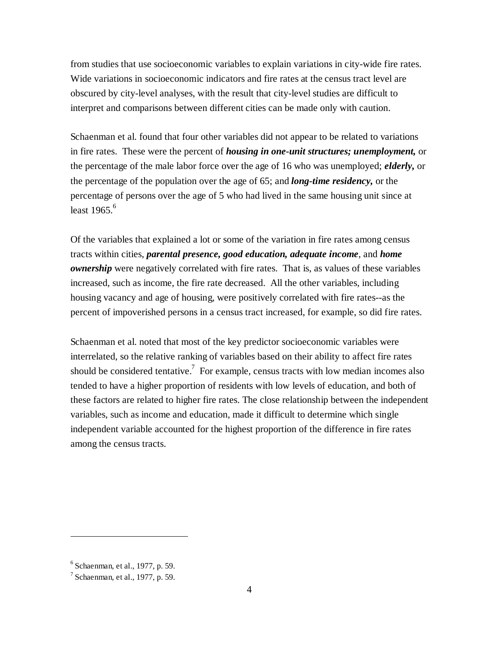from studies that use socioeconomic variables to explain variations in city-wide fire rates. Wide variations in socioeconomic indicators and fire rates at the census tract level are obscured by city-level analyses, with the result that city-level studies are difficult to interpret and comparisons between different cities can be made only with caution.

Schaenman et al. found that four other variables did not appear to be related to variations in fire rates. These were the percent of *housing in one-unit structures; unemployment,* or the percentage of the male labor force over the age of 16 who was unemployed; *elderly,* or the percentage of the population over the age of 65; and *long-time residency,* or the percentage of persons over the age of 5 who had lived in the same housing unit since at least  $1965$ <sup>6</sup>

Of the variables that explained a lot or some of the variation in fire rates among census tracts within cities, *parental presence, good education, adequate income*, and *home ownership* were negatively correlated with fire rates. That is, as values of these variables increased, such as income, the fire rate decreased. All the other variables, including housing vacancy and age of housing, were positively correlated with fire rates--as the percent of impoverished persons in a census tract increased, for example, so did fire rates.

Schaenman et al. noted that most of the key predictor socioeconomic variables were interrelated, so the relative ranking of variables based on their ability to affect fire rates should be considered tentative.<sup>7</sup> For example, census tracts with low median incomes also tended to have a higher proportion of residents with low levels of education, and both of these factors are related to higher fire rates. The close relationship between the independent variables, such as income and education, made it difficult to determine which single independent variable accounted for the highest proportion of the difference in fire rates among the census tracts.

<sup>6</sup> Schaenman, et al., 1977, p. 59.

 $<sup>7</sup>$  Schaenman, et al., 1977, p. 59.</sup>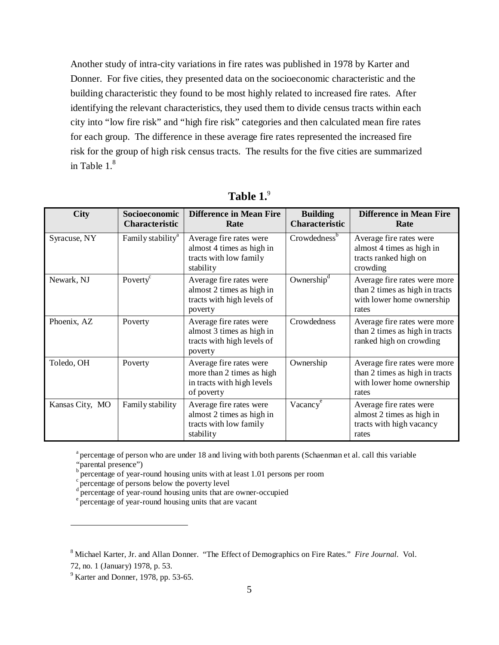Another study of intra-city variations in fire rates was published in 1978 by Karter and Donner. For five cities, they presented data on the socioeconomic characteristic and the building characteristic they found to be most highly related to increased fire rates. After identifying the relevant characteristics, they used them to divide census tracts within each city into "low fire risk" and "high fire risk" categories and then calculated mean fire rates for each group. The difference in these average fire rates represented the increased fire risk for the group of high risk census tracts. The results for the five cities are summarized in Table  $1<sup>8</sup>$ 

| <b>City</b>     | Socioeconomic<br><b>Characteristic</b> | <b>Difference in Mean Fire</b><br>Rate                                                           | <b>Building</b><br><b>Characteristic</b> | <b>Difference in Mean Fire</b><br>Rate                                                               |
|-----------------|----------------------------------------|--------------------------------------------------------------------------------------------------|------------------------------------------|------------------------------------------------------------------------------------------------------|
| Syracuse, NY    | Family stability <sup>a</sup>          | Average fire rates were<br>almost 4 times as high in<br>tracts with low family<br>stability      | Crowdedness <sup>b</sup>                 | Average fire rates were<br>almost 4 times as high in<br>tracts ranked high on<br>crowding            |
| Newark, NJ      | Poverty <sup>c</sup>                   | Average fire rates were<br>almost 2 times as high in<br>tracts with high levels of<br>poverty    | Ownership <sup>d</sup>                   | Average fire rates were more<br>than 2 times as high in tracts<br>with lower home ownership<br>rates |
| Phoenix, AZ     | Poverty                                | Average fire rates were<br>almost 3 times as high in<br>tracts with high levels of<br>poverty    | Crowdedness                              | Average fire rates were more<br>than 2 times as high in tracts<br>ranked high on crowding            |
| Toledo, OH      | Poverty                                | Average fire rates were<br>more than 2 times as high<br>in tracts with high levels<br>of poverty | Ownership                                | Average fire rates were more<br>than 2 times as high in tracts<br>with lower home ownership<br>rates |
| Kansas City, MO | Family stability                       | Average fire rates were<br>almost 2 times as high in<br>tracts with low family<br>stability      | Vacancy <sup>e</sup>                     | Average fire rates were<br>almost 2 times as high in<br>tracts with high vacancy<br>rates            |

**Table 1.**<sup>9</sup>

<sup>a</sup> percentage of person who are under 18 and living with both parents (Schaenman et al. call this variable

"parental presence")

<u>.</u>

b percentage of year-round housing units with at least 1.01 persons per room

percentage of persons below the poverty level

percentage of year-round housing units that are owner-occupied

e percentage of year-round housing units that are vacant

<sup>8</sup> Michael Karter, Jr. and Allan Donner. "The Effect of Demographics on Fire Rates." *Fire Journal.* Vol.

<sup>72,</sup> no. 1 (January) 1978, p. 53.

 $<sup>9</sup>$  Karter and Donner, 1978, pp. 53-65.</sup>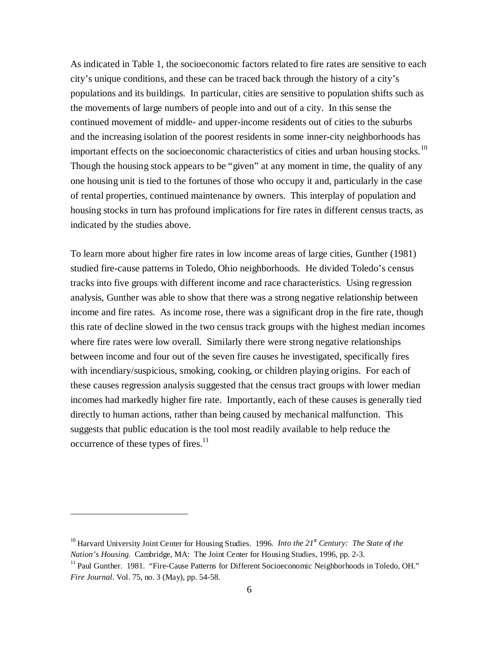As indicated in Table 1, the socioeconomic factors related to fire rates are sensitive to each city's unique conditions, and these can be traced back through the history of a city's populations and its buildings. In particular, cities are sensitive to population shifts such as the movements of large numbers of people into and out of a city. In this sense the continued movement of middle- and upper-income residents out of cities to the suburbs and the increasing isolation of the poorest residents in some inner-city neighborhoods has important effects on the socioeconomic characteristics of cities and urban housing stocks.<sup>10</sup> Though the housing stock appears to be "given" at any moment in time, the quality of any one housing unit is tied to the fortunes of those who occupy it and, particularly in the case of rental properties, continued maintenance by owners. This interplay of population and housing stocks in turn has profound implications for fire rates in different census tracts, as indicated by the studies above.

To learn more about higher fire rates in low income areas of large cities, Gunther (1981) studied fire-cause patterns in Toledo, Ohio neighborhoods. He divided Toledo's census tracks into five groups with different income and race characteristics. Using regression analysis, Gunther was able to show that there was a strong negative relationship between income and fire rates. As income rose, there was a significant drop in the fire rate, though this rate of decline slowed in the two census track groups with the highest median incomes where fire rates were low overall. Similarly there were strong negative relationships between income and four out of the seven fire causes he investigated, specifically fires with incendiary/suspicious, smoking, cooking, or children playing origins. For each of these causes regression analysis suggested that the census tract groups with lower median incomes had markedly higher fire rate. Importantly, each of these causes is generally tied directly to human actions, rather than being caused by mechanical malfunction. This suggests that public education is the tool most readily available to help reduce the occurrence of these types of fires.<sup>11</sup>

<sup>&</sup>lt;sup>10</sup> Harvard University Joint Center for Housing Studies. 1996. *Into the 21<sup>st</sup> Century: The State of the Nation's Housing.* Cambridge, MA: The Joint Center for Housing Studies, 1996, pp. 2-3.

<sup>&</sup>lt;sup>11</sup> Paul Gunther. 1981. "Fire-Cause Patterns for Different Socioeconomic Neighborhoods in Toledo, OH." *Fire Journal.* Vol. 75, no. 3 (May), pp. 54-58.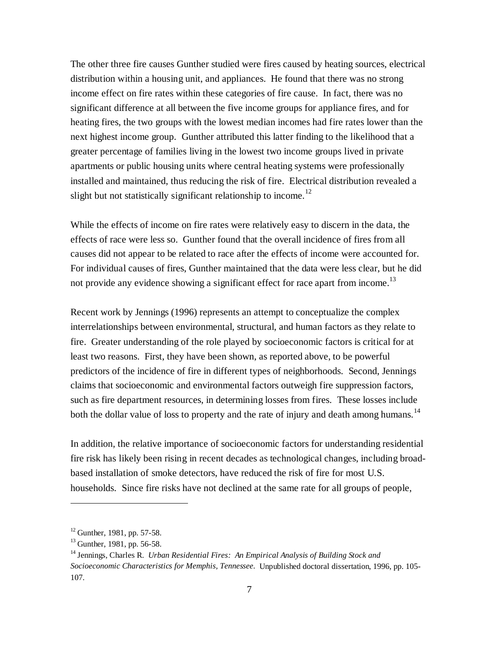The other three fire causes Gunther studied were fires caused by heating sources, electrical distribution within a housing unit, and appliances. He found that there was no strong income effect on fire rates within these categories of fire cause. In fact, there was no significant difference at all between the five income groups for appliance fires, and for heating fires, the two groups with the lowest median incomes had fire rates lower than the next highest income group. Gunther attributed this latter finding to the likelihood that a greater percentage of families living in the lowest two income groups lived in private apartments or public housing units where central heating systems were professionally installed and maintained, thus reducing the risk of fire. Electrical distribution revealed a slight but not statistically significant relationship to income.<sup>12</sup>

While the effects of income on fire rates were relatively easy to discern in the data, the effects of race were less so. Gunther found that the overall incidence of fires from all causes did not appear to be related to race after the effects of income were accounted for. For individual causes of fires, Gunther maintained that the data were less clear, but he did not provide any evidence showing a significant effect for race apart from income.<sup>13</sup>

Recent work by Jennings (1996) represents an attempt to conceptualize the complex interrelationships between environmental, structural, and human factors as they relate to fire. Greater understanding of the role played by socioeconomic factors is critical for at least two reasons. First, they have been shown, as reported above, to be powerful predictors of the incidence of fire in different types of neighborhoods. Second, Jennings claims that socioeconomic and environmental factors outweigh fire suppression factors, such as fire department resources, in determining losses from fires. These losses include both the dollar value of loss to property and the rate of injury and death among humans.<sup>14</sup>

In addition, the relative importance of socioeconomic factors for understanding residential fire risk has likely been rising in recent decades as technological changes, including broadbased installation of smoke detectors, have reduced the risk of fire for most U.S. households. Since fire risks have not declined at the same rate for all groups of people,

 $12$  Gunther, 1981, pp. 57-58.

 $13$  Gunther, 1981, pp. 56-58.

<sup>14</sup> Jennings, Charles R. *Urban Residential Fires: An Empirical Analysis of Building Stock and Socioeconomic Characteristics for Memphis, Tennessee.* Unpublished doctoral dissertation, 1996, pp. 105- 107.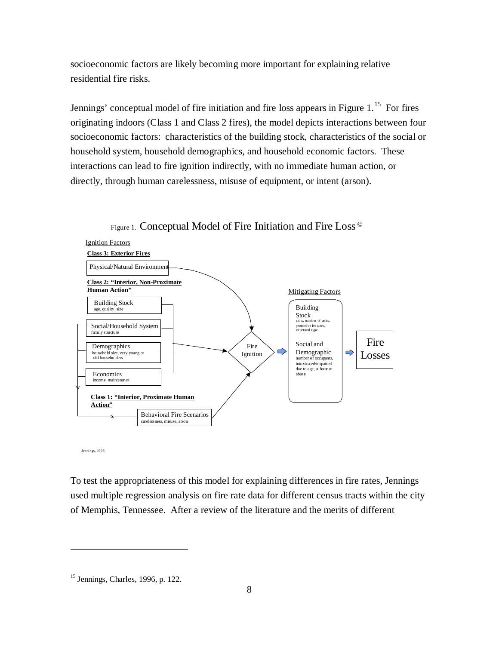socioeconomic factors are likely becoming more important for explaining relative residential fire risks.

Jennings' conceptual model of fire initiation and fire loss appears in Figure  $1<sup>15</sup>$  For fires originating indoors (Class 1 and Class 2 fires), the model depicts interactions between four socioeconomic factors: characteristics of the building stock, characteristics of the social or household system, household demographics, and household economic factors. These interactions can lead to fire ignition indirectly, with no immediate human action, or directly, through human carelessness, misuse of equipment, or intent (arson).



Figure 1. Conceptual Model of Fire Initiation and Fire Loss ©

Jennings, 1996

<u>.</u>

To test the appropriateness of this model for explaining differences in fire rates, Jennings used multiple regression analysis on fire rate data for different census tracts within the city of Memphis, Tennessee. After a review of the literature and the merits of different

<sup>15</sup> Jennings, Charles, 1996, p. 122.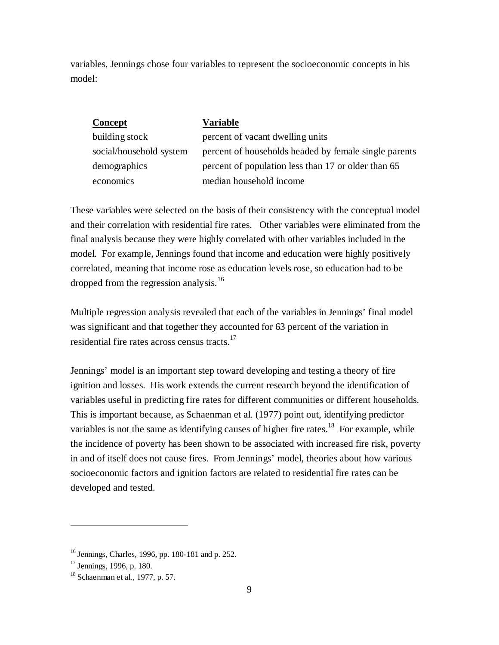variables, Jennings chose four variables to represent the socioeconomic concepts in his model:

| Concept                 | Variable                                              |
|-------------------------|-------------------------------------------------------|
| building stock          | percent of vacant dwelling units                      |
| social/household system | percent of households headed by female single parents |
| demographics            | percent of population less than 17 or older than 65   |
| economics               | median household income                               |

These variables were selected on the basis of their consistency with the conceptual model and their correlation with residential fire rates. Other variables were eliminated from the final analysis because they were highly correlated with other variables included in the model. For example, Jennings found that income and education were highly positively correlated, meaning that income rose as education levels rose, so education had to be dropped from the regression analysis.<sup>16</sup>

Multiple regression analysis revealed that each of the variables in Jennings' final model was significant and that together they accounted for 63 percent of the variation in residential fire rates across census tracts.<sup>17</sup>

Jennings' model is an important step toward developing and testing a theory of fire ignition and losses. His work extends the current research beyond the identification of variables useful in predicting fire rates for different communities or different households. This is important because, as Schaenman et al. (1977) point out, identifying predictor variables is not the same as identifying causes of higher fire rates.<sup>18</sup> For example, while the incidence of poverty has been shown to be associated with increased fire risk, poverty in and of itself does not cause fires. From Jennings' model, theories about how various socioeconomic factors and ignition factors are related to residential fire rates can be developed and tested.

<sup>16</sup> Jennings, Charles, 1996, pp. 180-181 and p. 252.

 $17$  Jennings, 1996, p. 180.

<sup>18</sup> Schaenman et al., 1977, p. 57.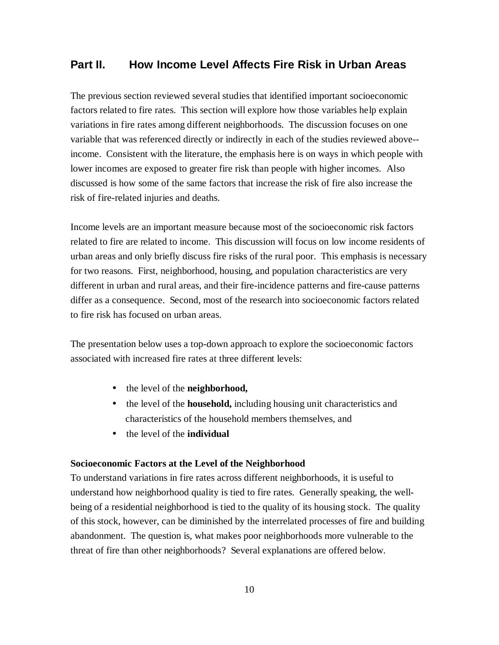# **Part II. How Income Level Affects Fire Risk in Urban Areas**

The previous section reviewed several studies that identified important socioeconomic factors related to fire rates. This section will explore how those variables help explain variations in fire rates among different neighborhoods. The discussion focuses on one variable that was referenced directly or indirectly in each of the studies reviewed above- income. Consistent with the literature, the emphasis here is on ways in which people with lower incomes are exposed to greater fire risk than people with higher incomes. Also discussed is how some of the same factors that increase the risk of fire also increase the risk of fire-related injuries and deaths.

Income levels are an important measure because most of the socioeconomic risk factors related to fire are related to income. This discussion will focus on low income residents of urban areas and only briefly discuss fire risks of the rural poor. This emphasis is necessary for two reasons. First, neighborhood, housing, and population characteristics are very different in urban and rural areas, and their fire-incidence patterns and fire-cause patterns differ as a consequence. Second, most of the research into socioeconomic factors related to fire risk has focused on urban areas.

The presentation below uses a top-down approach to explore the socioeconomic factors associated with increased fire rates at three different levels:

- the level of the **neighborhood,**
- the level of the **household**, including housing unit characteristics and characteristics of the household members themselves, and
- the level of the **individual**

#### **Socioeconomic Factors at the Level of the Neighborhood**

To understand variations in fire rates across different neighborhoods, it is useful to understand how neighborhood quality is tied to fire rates. Generally speaking, the wellbeing of a residential neighborhood is tied to the quality of its housing stock. The quality of this stock, however, can be diminished by the interrelated processes of fire and building abandonment. The question is, what makes poor neighborhoods more vulnerable to the threat of fire than other neighborhoods? Several explanations are offered below.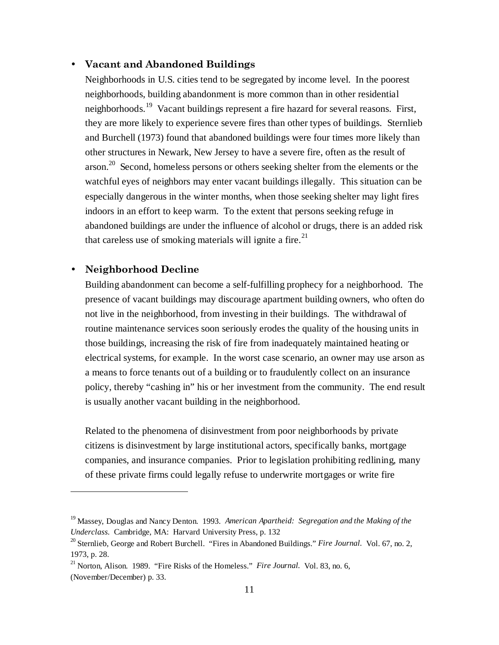#### • Vacant and Abandoned Buildings

Neighborhoods in U.S. cities tend to be segregated by income level. In the poorest neighborhoods, building abandonment is more common than in other residential neighborhoods.19 Vacant buildings represent a fire hazard for several reasons. First, they are more likely to experience severe fires than other types of buildings. Sternlieb and Burchell (1973) found that abandoned buildings were four times more likely than other structures in Newark, New Jersey to have a severe fire, often as the result of arson.<sup>20</sup> Second, homeless persons or others seeking shelter from the elements or the watchful eyes of neighbors may enter vacant buildings illegally. This situation can be especially dangerous in the winter months, when those seeking shelter may light fires indoors in an effort to keep warm. To the extent that persons seeking refuge in abandoned buildings are under the influence of alcohol or drugs, there is an added risk that careless use of smoking materials will ignite a fire.<sup>21</sup>

## Neighborhood Decline

<u>.</u>

Building abandonment can become a self-fulfilling prophecy for a neighborhood. The presence of vacant buildings may discourage apartment building owners, who often do not live in the neighborhood, from investing in their buildings. The withdrawal of routine maintenance services soon seriously erodes the quality of the housing units in those buildings, increasing the risk of fire from inadequately maintained heating or electrical systems, for example. In the worst case scenario, an owner may use arson as a means to force tenants out of a building or to fraudulently collect on an insurance policy, thereby "cashing in" his or her investment from the community. The end result is usually another vacant building in the neighborhood.

Related to the phenomena of disinvestment from poor neighborhoods by private citizens is disinvestment by large institutional actors, specifically banks, mortgage companies, and insurance companies. Prior to legislation prohibiting redlining, many of these private firms could legally refuse to underwrite mortgages or write fire

<sup>19</sup> Massey, Douglas and Nancy Denton. 1993. *American Apartheid: Segregation and the Making of the Underclass.* Cambridge, MA: Harvard University Press, p. 132

<sup>&</sup>lt;sup>20</sup> Sternlieb, George and Robert Burchell. "Fires in Abandoned Buildings." *Fire Journal.* Vol. 67, no. 2, 1973, p. 28.

<sup>&</sup>lt;sup>21</sup> Norton, Alison. 1989. "Fire Risks of the Homeless." *Fire Journal*. Vol. 83, no. 6, (November/December) p. 33.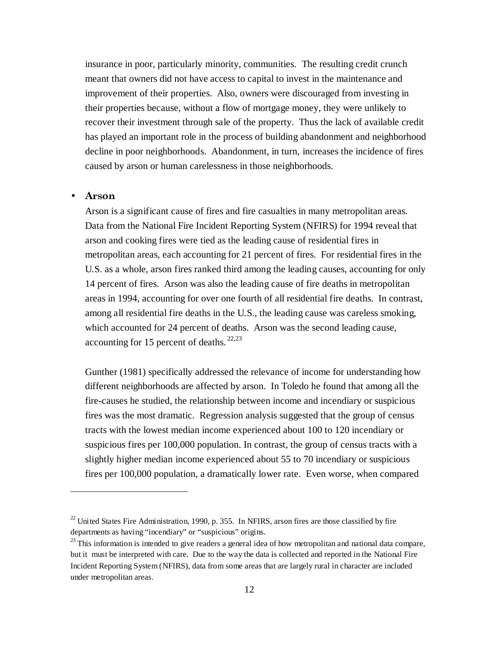insurance in poor, particularly minority, communities. The resulting credit crunch meant that owners did not have access to capital to invest in the maintenance and improvement of their properties. Also, owners were discouraged from investing in their properties because, without a flow of mortgage money, they were unlikely to recover their investment through sale of the property. Thus the lack of available credit has played an important role in the process of building abandonment and neighborhood decline in poor neighborhoods. Abandonment, in turn, increases the incidence of fires caused by arson or human carelessness in those neighborhoods.

#### Arson

<u>.</u>

Arson is a significant cause of fires and fire casualties in many metropolitan areas. Data from the National Fire Incident Reporting System (NFIRS) for 1994 reveal that arson and cooking fires were tied as the leading cause of residential fires in metropolitan areas, each accounting for 21 percent of fires. For residential fires in the U.S. as a whole, arson fires ranked third among the leading causes, accounting for only 14 percent of fires. Arson was also the leading cause of fire deaths in metropolitan areas in 1994, accounting for over one fourth of all residential fire deaths. In contrast, among all residential fire deaths in the U.S., the leading cause was careless smoking, which accounted for 24 percent of deaths. Arson was the second leading cause, accounting for 15 percent of deaths.  $22,23$ 

Gunther (1981) specifically addressed the relevance of income for understanding how different neighborhoods are affected by arson. In Toledo he found that among all the fire-causes he studied, the relationship between income and incendiary or suspicious fires was the most dramatic. Regression analysis suggested that the group of census tracts with the lowest median income experienced about 100 to 120 incendiary or suspicious fires per 100,000 population. In contrast, the group of census tracts with a slightly higher median income experienced about 55 to 70 incendiary or suspicious fires per 100,000 population, a dramatically lower rate. Even worse, when compared

 $22$  United States Fire Administration, 1990, p. 355. In NFIRS, arson fires are those classified by fire departments as having "incendiary" or "suspicious" origins.

 $^{23}$  This information is intended to give readers a general idea of how metropolitan and national data compare, but it must be interpreted with care. Due to the way the data is collected and reported in the National Fire Incident Reporting System (NFIRS), data from some areas that are largely rural in character are included under metropolitan areas.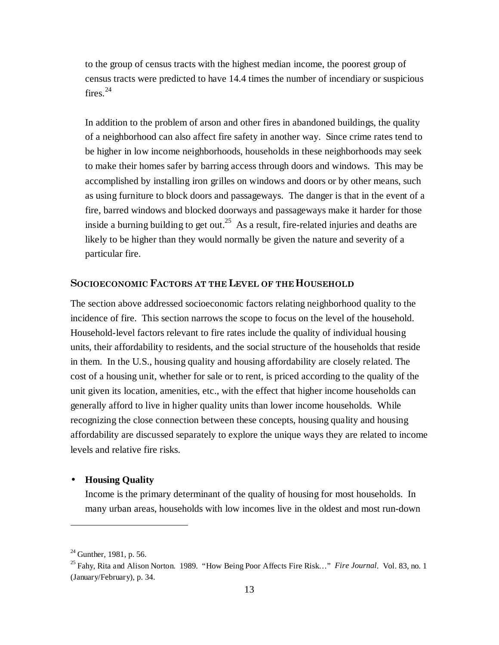to the group of census tracts with the highest median income, the poorest group of census tracts were predicted to have 14.4 times the number of incendiary or suspicious fires. $^{24}$ 

In addition to the problem of arson and other fires in abandoned buildings, the quality of a neighborhood can also affect fire safety in another way. Since crime rates tend to be higher in low income neighborhoods, households in these neighborhoods may seek to make their homes safer by barring access through doors and windows. This may be accomplished by installing iron grilles on windows and doors or by other means, such as using furniture to block doors and passageways. The danger is that in the event of a fire, barred windows and blocked doorways and passageways make it harder for those inside a burning building to get out.<sup>25</sup> As a result, fire-related injuries and deaths are likely to be higher than they would normally be given the nature and severity of a particular fire.

## SOCIOECONOMIC FACTORS AT THE LEVEL OF THE HOUSEHOLD

The section above addressed socioeconomic factors relating neighborhood quality to the incidence of fire. This section narrows the scope to focus on the level of the household. Household-level factors relevant to fire rates include the quality of individual housing units, their affordability to residents, and the social structure of the households that reside in them. In the U.S., housing quality and housing affordability are closely related. The cost of a housing unit, whether for sale or to rent, is priced according to the quality of the unit given its location, amenities, etc., with the effect that higher income households can generally afford to live in higher quality units than lower income households. While recognizing the close connection between these concepts, housing quality and housing affordability are discussed separately to explore the unique ways they are related to income levels and relative fire risks.

#### • **Housing Quality**

Income is the primary determinant of the quality of housing for most households. In many urban areas, households with low incomes live in the oldest and most run-down

 $^{24}$  Gunther, 1981, p. 56.

<sup>25</sup> Fahy, Rita and Alison Norton. 1989. "How Being Poor Affects Fire Risk…" *Fire Journal*. Vol. 83, no. 1 (January/February), p. 34.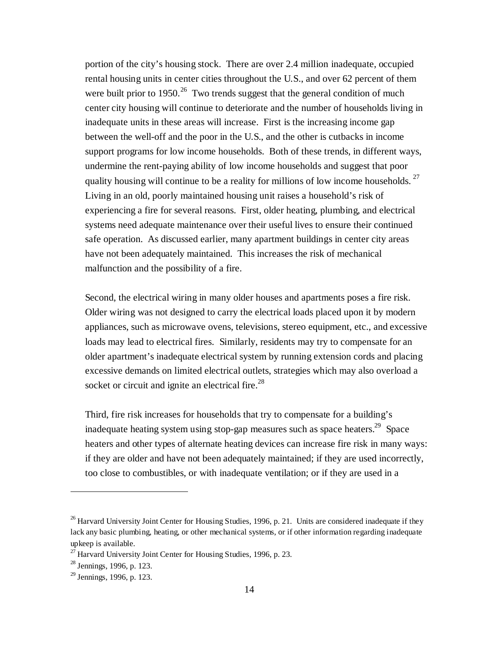portion of the city's housing stock. There are over 2.4 million inadequate, occupied rental housing units in center cities throughout the U.S., and over 62 percent of them were built prior to 1950.<sup>26</sup> Two trends suggest that the general condition of much center city housing will continue to deteriorate and the number of households living in inadequate units in these areas will increase. First is the increasing income gap between the well-off and the poor in the U.S., and the other is cutbacks in income support programs for low income households. Both of these trends, in different ways, undermine the rent-paying ability of low income households and suggest that poor quality housing will continue to be a reality for millions of low income households.<sup>27</sup> Living in an old, poorly maintained housing unit raises a household's risk of experiencing a fire for several reasons. First, older heating, plumbing, and electrical systems need adequate maintenance over their useful lives to ensure their continued safe operation. As discussed earlier, many apartment buildings in center city areas have not been adequately maintained. This increases the risk of mechanical malfunction and the possibility of a fire.

Second, the electrical wiring in many older houses and apartments poses a fire risk. Older wiring was not designed to carry the electrical loads placed upon it by modern appliances, such as microwave ovens, televisions, stereo equipment, etc., and excessive loads may lead to electrical fires. Similarly, residents may try to compensate for an older apartment's inadequate electrical system by running extension cords and placing excessive demands on limited electrical outlets, strategies which may also overload a socket or circuit and ignite an electrical fire. $28$ 

Third, fire risk increases for households that try to compensate for a building's inadequate heating system using stop-gap measures such as space heaters.<sup>29</sup> Space heaters and other types of alternate heating devices can increase fire risk in many ways: if they are older and have not been adequately maintained; if they are used incorrectly, too close to combustibles, or with inadequate ventilation; or if they are used in a

<sup>&</sup>lt;sup>26</sup> Harvard University Joint Center for Housing Studies, 1996, p. 21. Units are considered inadequate if they lack any basic plumbing, heating, or other mechanical systems, or if other information regarding inadequate upkeep is available.

 $^{27}$  Harvard University Joint Center for Housing Studies, 1996, p. 23.

<sup>28</sup> Jennings, 1996, p. 123.

 $29$  Jennings, 1996, p. 123.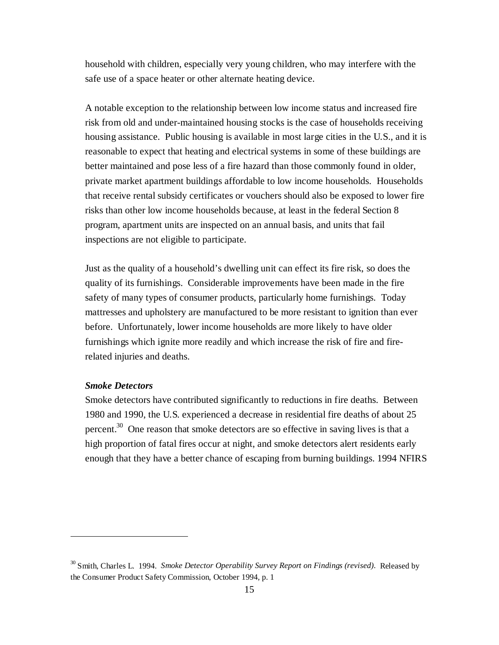household with children, especially very young children, who may interfere with the safe use of a space heater or other alternate heating device.

A notable exception to the relationship between low income status and increased fire risk from old and under-maintained housing stocks is the case of households receiving housing assistance. Public housing is available in most large cities in the U.S., and it is reasonable to expect that heating and electrical systems in some of these buildings are better maintained and pose less of a fire hazard than those commonly found in older, private market apartment buildings affordable to low income households. Households that receive rental subsidy certificates or vouchers should also be exposed to lower fire risks than other low income households because, at least in the federal Section 8 program, apartment units are inspected on an annual basis, and units that fail inspections are not eligible to participate.

Just as the quality of a household's dwelling unit can effect its fire risk, so does the quality of its furnishings. Considerable improvements have been made in the fire safety of many types of consumer products, particularly home furnishings. Today mattresses and upholstery are manufactured to be more resistant to ignition than ever before. Unfortunately, lower income households are more likely to have older furnishings which ignite more readily and which increase the risk of fire and firerelated injuries and deaths.

## *Smoke Detectors*

<u>.</u>

Smoke detectors have contributed significantly to reductions in fire deaths. Between 1980 and 1990, the U.S. experienced a decrease in residential fire deaths of about 25 percent.<sup>30</sup> One reason that smoke detectors are so effective in saving lives is that a high proportion of fatal fires occur at night, and smoke detectors alert residents early enough that they have a better chance of escaping from burning buildings. 1994 NFIRS

<sup>30</sup> Smith, Charles L. 1994. *Smoke Detector Operability Survey Report on Findings (revised).* Released by the Consumer Product Safety Commission, October 1994, p. 1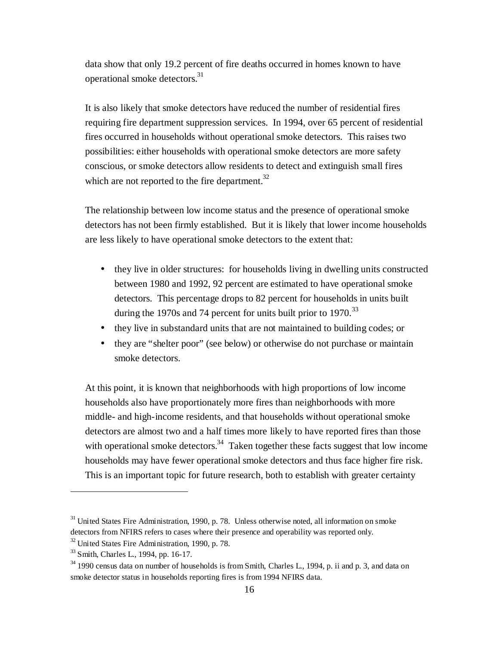data show that only 19.2 percent of fire deaths occurred in homes known to have operational smoke detectors.31

It is also likely that smoke detectors have reduced the number of residential fires requiring fire department suppression services. In 1994, over 65 percent of residential fires occurred in households without operational smoke detectors. This raises two possibilities: either households with operational smoke detectors are more safety conscious, or smoke detectors allow residents to detect and extinguish small fires which are not reported to the fire department.<sup>32</sup>

The relationship between low income status and the presence of operational smoke detectors has not been firmly established. But it is likely that lower income households are less likely to have operational smoke detectors to the extent that:

- they live in older structures: for households living in dwelling units constructed between 1980 and 1992, 92 percent are estimated to have operational smoke detectors. This percentage drops to 82 percent for households in units built during the 1970s and 74 percent for units built prior to 1970.<sup>33</sup>
- they live in substandard units that are not maintained to building codes; or
- they are "shelter poor" (see below) or otherwise do not purchase or maintain smoke detectors.

At this point, it is known that neighborhoods with high proportions of low income households also have proportionately more fires than neighborhoods with more middle- and high-income residents, and that households without operational smoke detectors are almost two and a half times more likely to have reported fires than those with operational smoke detectors.<sup>34</sup> Taken together these facts suggest that low income households may have fewer operational smoke detectors and thus face higher fire risk. This is an important topic for future research, both to establish with greater certainty

 $31$  United States Fire Administration, 1990, p. 78. Unless otherwise noted, all information on smoke detectors from NFIRS refers to cases where their presence and operability was reported only.

 $32$  United States Fire Administration, 1990, p. 78.

<sup>&</sup>lt;sup>33</sup> Smith, Charles L., 1994, pp. 16-17.

 $34$  1990 census data on number of households is from Smith, Charles L., 1994, p. ii and p. 3, and data on smoke detector status in households reporting fires is from 1994 NFIRS data.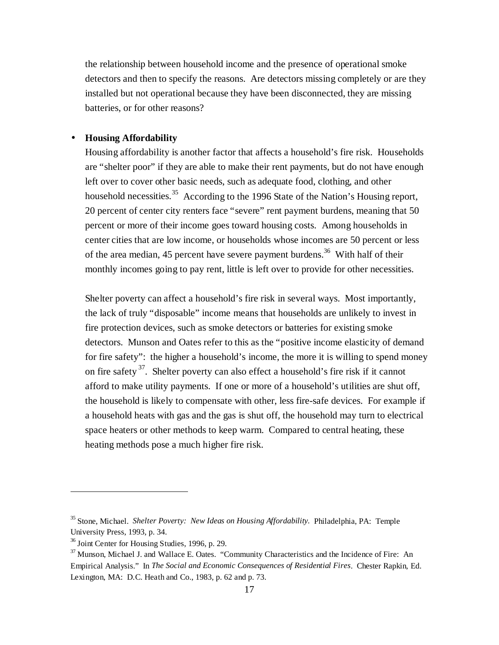the relationship between household income and the presence of operational smoke detectors and then to specify the reasons. Are detectors missing completely or are they installed but not operational because they have been disconnected, they are missing batteries, or for other reasons?

#### • **Housing Affordability**

Housing affordability is another factor that affects a household's fire risk. Households are "shelter poor" if they are able to make their rent payments, but do not have enough left over to cover other basic needs, such as adequate food, clothing, and other household necessities.<sup>35</sup> According to the 1996 State of the Nation's Housing report, 20 percent of center city renters face "severe" rent payment burdens, meaning that 50 percent or more of their income goes toward housing costs. Among households in center cities that are low income, or households whose incomes are 50 percent or less of the area median, 45 percent have severe payment burdens.<sup>36</sup> With half of their monthly incomes going to pay rent, little is left over to provide for other necessities.

Shelter poverty can affect a household's fire risk in several ways. Most importantly, the lack of truly "disposable" income means that households are unlikely to invest in fire protection devices, such as smoke detectors or batteries for existing smoke detectors. Munson and Oates refer to this as the "positive income elasticity of demand for fire safety": the higher a household's income, the more it is willing to spend money on fire safety<sup>37</sup>. Shelter poverty can also effect a household's fire risk if it cannot afford to make utility payments. If one or more of a household's utilities are shut off, the household is likely to compensate with other, less fire-safe devices. For example if a household heats with gas and the gas is shut off, the household may turn to electrical space heaters or other methods to keep warm. Compared to central heating, these heating methods pose a much higher fire risk.

<sup>35</sup> Stone, Michael. *Shelter Poverty: New Ideas on Housing Affordability.* Philadelphia, PA: Temple University Press, 1993, p. 34.

<sup>&</sup>lt;sup>36</sup> Joint Center for Housing Studies, 1996, p. 29.

 $37$  Munson, Michael J. and Wallace E. Oates. "Community Characteristics and the Incidence of Fire: An Empirical Analysis." In *The Social and Economic Consequences of Residential Fires*. Chester Rapkin, Ed. Lexington, MA: D.C. Heath and Co., 1983, p. 62 and p. 73.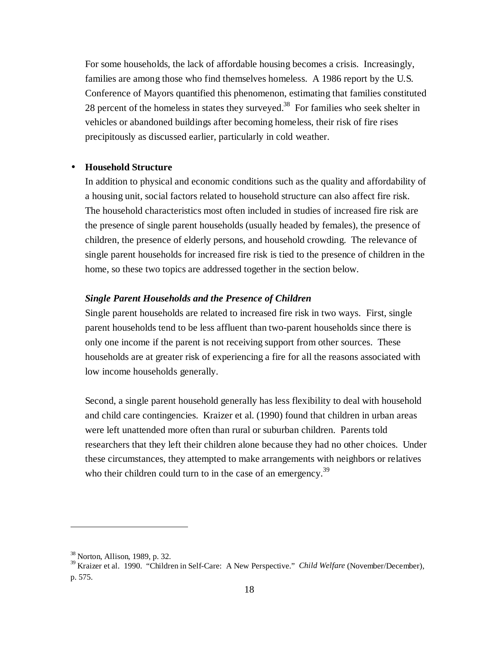For some households, the lack of affordable housing becomes a crisis. Increasingly, families are among those who find themselves homeless. A 1986 report by the U.S. Conference of Mayors quantified this phenomenon, estimating that families constituted 28 percent of the homeless in states they surveyed.<sup>38</sup> For families who seek shelter in vehicles or abandoned buildings after becoming homeless, their risk of fire rises precipitously as discussed earlier, particularly in cold weather.

#### • **Household Structure**

In addition to physical and economic conditions such as the quality and affordability of a housing unit, social factors related to household structure can also affect fire risk. The household characteristics most often included in studies of increased fire risk are the presence of single parent households (usually headed by females), the presence of children, the presence of elderly persons, and household crowding. The relevance of single parent households for increased fire risk is tied to the presence of children in the home, so these two topics are addressed together in the section below.

#### *Single Parent Households and the Presence of Children*

Single parent households are related to increased fire risk in two ways. First, single parent households tend to be less affluent than two-parent households since there is only one income if the parent is not receiving support from other sources. These households are at greater risk of experiencing a fire for all the reasons associated with low income households generally.

Second, a single parent household generally has less flexibility to deal with household and child care contingencies. Kraizer et al. (1990) found that children in urban areas were left unattended more often than rural or suburban children. Parents told researchers that they left their children alone because they had no other choices. Under these circumstances, they attempted to make arrangements with neighbors or relatives who their children could turn to in the case of an emergency.<sup>39</sup>

<sup>&</sup>lt;sup>38</sup> Norton, Allison, 1989, p. 32.<br><sup>39</sup> Kraizer et al. 1990. "Children in Self-Care: A New Perspective." *Child Welfare* (November/December), p. 575.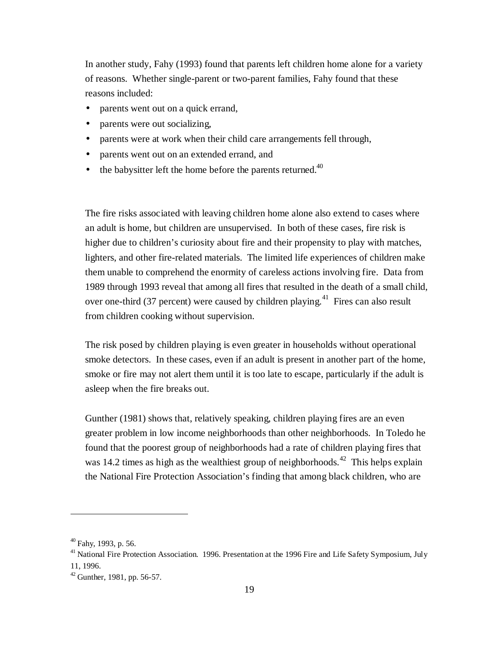In another study, Fahy (1993) found that parents left children home alone for a variety of reasons. Whether single-parent or two-parent families, Fahy found that these reasons included:

- parents went out on a quick errand,
- parents were out socializing,
- parents were at work when their child care arrangements fell through,
- parents went out on an extended errand, and
- the babysitter left the home before the parents returned. $40$

The fire risks associated with leaving children home alone also extend to cases where an adult is home, but children are unsupervised. In both of these cases, fire risk is higher due to children's curiosity about fire and their propensity to play with matches, lighters, and other fire-related materials. The limited life experiences of children make them unable to comprehend the enormity of careless actions involving fire. Data from 1989 through 1993 reveal that among all fires that resulted in the death of a small child, over one-third (37 percent) were caused by children playing.<sup>41</sup> Fires can also result from children cooking without supervision.

The risk posed by children playing is even greater in households without operational smoke detectors. In these cases, even if an adult is present in another part of the home, smoke or fire may not alert them until it is too late to escape, particularly if the adult is asleep when the fire breaks out.

Gunther (1981) shows that, relatively speaking, children playing fires are an even greater problem in low income neighborhoods than other neighborhoods. In Toledo he found that the poorest group of neighborhoods had a rate of children playing fires that was 14.2 times as high as the wealthiest group of neighborhoods.<sup>42</sup> This helps explain the National Fire Protection Association's finding that among black children, who are

 $40$  Fahy, 1993, p. 56.

<sup>&</sup>lt;sup>41</sup> National Fire Protection Association. 1996. Presentation at the 1996 Fire and Life Safety Symposium, July 11, 1996.

<sup>42</sup> Gunther, 1981, pp. 56-57.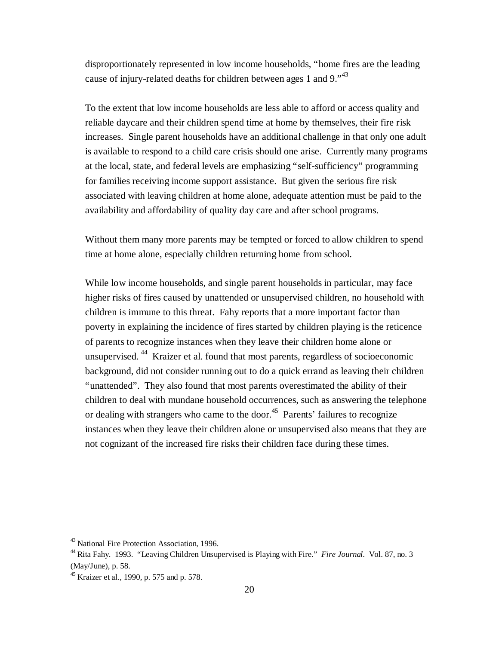disproportionately represented in low income households, "home fires are the leading cause of injury-related deaths for children between ages 1 and 9. $1<sup>43</sup>$ 

To the extent that low income households are less able to afford or access quality and reliable daycare and their children spend time at home by themselves, their fire risk increases. Single parent households have an additional challenge in that only one adult is available to respond to a child care crisis should one arise. Currently many programs at the local, state, and federal levels are emphasizing "self-sufficiency" programming for families receiving income support assistance. But given the serious fire risk associated with leaving children at home alone, adequate attention must be paid to the availability and affordability of quality day care and after school programs.

Without them many more parents may be tempted or forced to allow children to spend time at home alone, especially children returning home from school.

While low income households, and single parent households in particular, may face higher risks of fires caused by unattended or unsupervised children, no household with children is immune to this threat. Fahy reports that a more important factor than poverty in explaining the incidence of fires started by children playing is the reticence of parents to recognize instances when they leave their children home alone or unsupervised. 44 Kraizer et al. found that most parents, regardless of socioeconomic background, did not consider running out to do a quick errand as leaving their children "unattended". They also found that most parents overestimated the ability of their children to deal with mundane household occurrences, such as answering the telephone or dealing with strangers who came to the door.<sup>45</sup> Parents' failures to recognize instances when they leave their children alone or unsupervised also means that they are not cognizant of the increased fire risks their children face during these times.

<sup>&</sup>lt;sup>43</sup> National Fire Protection Association, 1996.

<sup>44</sup> Rita Fahy. 1993. "Leaving Children Unsupervised is Playing with Fire." *Fire Journal.* Vol. 87, no. 3 (May/June), p. 58.

<sup>45</sup> Kraizer et al., 1990, p. 575 and p. 578.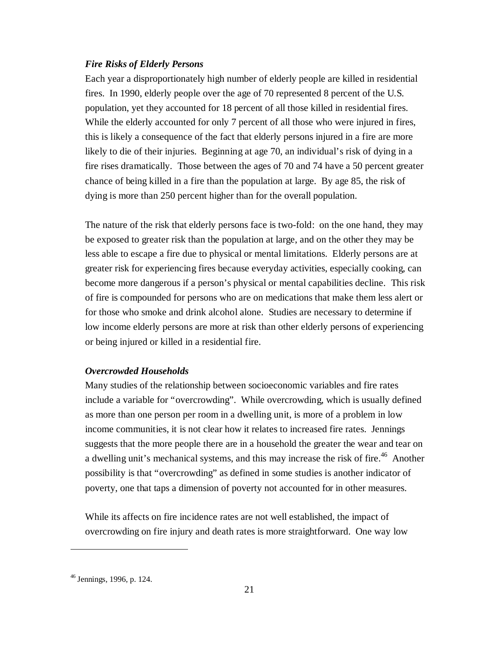#### *Fire Risks of Elderly Persons*

Each year a disproportionately high number of elderly people are killed in residential fires. In 1990, elderly people over the age of 70 represented 8 percent of the U.S. population, yet they accounted for 18 percent of all those killed in residential fires. While the elderly accounted for only 7 percent of all those who were injured in fires, this is likely a consequence of the fact that elderly persons injured in a fire are more likely to die of their injuries. Beginning at age 70, an individual's risk of dying in a fire rises dramatically. Those between the ages of 70 and 74 have a 50 percent greater chance of being killed in a fire than the population at large. By age 85, the risk of dying is more than 250 percent higher than for the overall population.

The nature of the risk that elderly persons face is two-fold: on the one hand, they may be exposed to greater risk than the population at large, and on the other they may be less able to escape a fire due to physical or mental limitations. Elderly persons are at greater risk for experiencing fires because everyday activities, especially cooking, can become more dangerous if a person's physical or mental capabilities decline. This risk of fire is compounded for persons who are on medications that make them less alert or for those who smoke and drink alcohol alone. Studies are necessary to determine if low income elderly persons are more at risk than other elderly persons of experiencing or being injured or killed in a residential fire.

#### *Overcrowded Households*

Many studies of the relationship between socioeconomic variables and fire rates include a variable for "overcrowding". While overcrowding, which is usually defined as more than one person per room in a dwelling unit, is more of a problem in low income communities, it is not clear how it relates to increased fire rates. Jennings suggests that the more people there are in a household the greater the wear and tear on a dwelling unit's mechanical systems, and this may increase the risk of fire.<sup>46</sup> Another possibility is that "overcrowding" as defined in some studies is another indicator of poverty, one that taps a dimension of poverty not accounted for in other measures.

While its affects on fire incidence rates are not well established, the impact of overcrowding on fire injury and death rates is more straightforward. One way low

<sup>46</sup> Jennings, 1996, p. 124.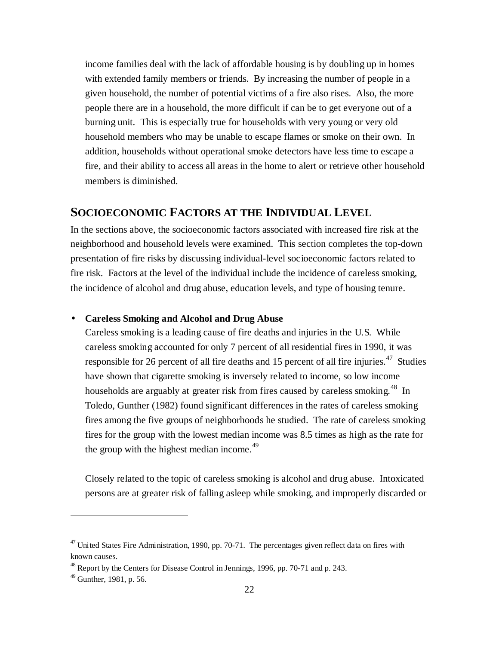income families deal with the lack of affordable housing is by doubling up in homes with extended family members or friends. By increasing the number of people in a given household, the number of potential victims of a fire also rises. Also, the more people there are in a household, the more difficult if can be to get everyone out of a burning unit. This is especially true for households with very young or very old household members who may be unable to escape flames or smoke on their own. In addition, households without operational smoke detectors have less time to escape a fire, and their ability to access all areas in the home to alert or retrieve other household members is diminished.

## **SOCIOECONOMIC FACTORS AT THE INDIVIDUAL LEVEL**

In the sections above, the socioeconomic factors associated with increased fire risk at the neighborhood and household levels were examined. This section completes the top-down presentation of fire risks by discussing individual-level socioeconomic factors related to fire risk. Factors at the level of the individual include the incidence of careless smoking, the incidence of alcohol and drug abuse, education levels, and type of housing tenure.

## • **Careless Smoking and Alcohol and Drug Abuse**

Careless smoking is a leading cause of fire deaths and injuries in the U.S. While careless smoking accounted for only 7 percent of all residential fires in 1990, it was responsible for 26 percent of all fire deaths and 15 percent of all fire injuries.<sup>47</sup> Studies have shown that cigarette smoking is inversely related to income, so low income households are arguably at greater risk from fires caused by careless smoking.<sup>48</sup> In Toledo, Gunther (1982) found significant differences in the rates of careless smoking fires among the five groups of neighborhoods he studied. The rate of careless smoking fires for the group with the lowest median income was 8.5 times as high as the rate for the group with the highest median income.<sup>49</sup>

Closely related to the topic of careless smoking is alcohol and drug abuse. Intoxicated persons are at greater risk of falling asleep while smoking, and improperly discarded or

 $47$  United States Fire Administration, 1990, pp. 70-71. The percentages given reflect data on fires with known causes.

<sup>&</sup>lt;sup>48</sup> Report by the Centers for Disease Control in Jennings, 1996, pp. 70-71 and p. 243.

 $49$  Gunther, 1981, p. 56.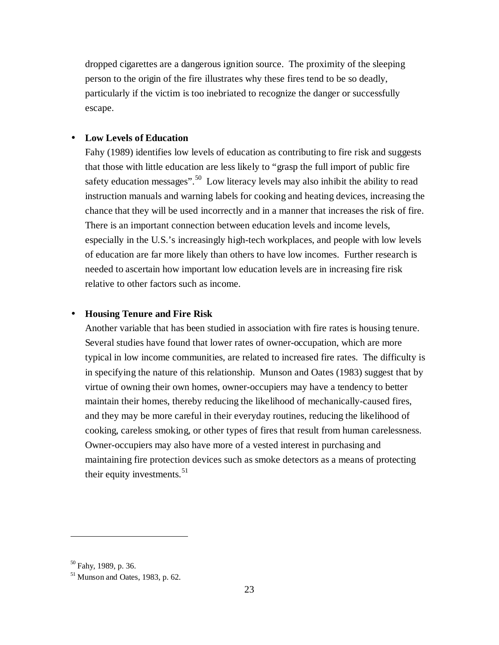dropped cigarettes are a dangerous ignition source. The proximity of the sleeping person to the origin of the fire illustrates why these fires tend to be so deadly, particularly if the victim is too inebriated to recognize the danger or successfully escape.

#### • **Low Levels of Education**

Fahy (1989) identifies low levels of education as contributing to fire risk and suggests that those with little education are less likely to "grasp the full import of public fire safety education messages".<sup>50</sup> Low literacy levels may also inhibit the ability to read instruction manuals and warning labels for cooking and heating devices, increasing the chance that they will be used incorrectly and in a manner that increases the risk of fire. There is an important connection between education levels and income levels, especially in the U.S.'s increasingly high-tech workplaces, and people with low levels of education are far more likely than others to have low incomes. Further research is needed to ascertain how important low education levels are in increasing fire risk relative to other factors such as income.

#### • **Housing Tenure and Fire Risk**

Another variable that has been studied in association with fire rates is housing tenure. Several studies have found that lower rates of owner-occupation, which are more typical in low income communities, are related to increased fire rates. The difficulty is in specifying the nature of this relationship. Munson and Oates (1983) suggest that by virtue of owning their own homes, owner-occupiers may have a tendency to better maintain their homes, thereby reducing the likelihood of mechanically-caused fires, and they may be more careful in their everyday routines, reducing the likelihood of cooking, careless smoking, or other types of fires that result from human carelessness. Owner-occupiers may also have more of a vested interest in purchasing and maintaining fire protection devices such as smoke detectors as a means of protecting their equity investments. $51$ 

<sup>50</sup> Fahy, 1989, p. 36.

<sup>&</sup>lt;sup>51</sup> Munson and Oates, 1983, p. 62.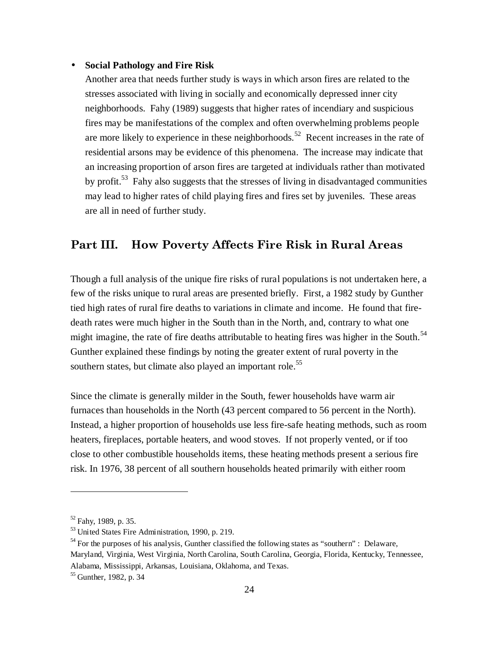#### • **Social Pathology and Fire Risk**

Another area that needs further study is ways in which arson fires are related to the stresses associated with living in socially and economically depressed inner city neighborhoods. Fahy (1989) suggests that higher rates of incendiary and suspicious fires may be manifestations of the complex and often overwhelming problems people are more likely to experience in these neighborhoods.<sup>52</sup> Recent increases in the rate of residential arsons may be evidence of this phenomena. The increase may indicate that an increasing proportion of arson fires are targeted at individuals rather than motivated by profit.<sup>53</sup> Fahy also suggests that the stresses of living in disadvantaged communities may lead to higher rates of child playing fires and fires set by juveniles. These areas are all in need of further study.

# Part III. How Poverty Affects Fire Risk in Rural Areas

Though a full analysis of the unique fire risks of rural populations is not undertaken here, a few of the risks unique to rural areas are presented briefly. First, a 1982 study by Gunther tied high rates of rural fire deaths to variations in climate and income. He found that firedeath rates were much higher in the South than in the North, and, contrary to what one might imagine, the rate of fire deaths attributable to heating fires was higher in the South.<sup>54</sup> Gunther explained these findings by noting the greater extent of rural poverty in the southern states, but climate also played an important role.<sup>55</sup>

Since the climate is generally milder in the South, fewer households have warm air furnaces than households in the North (43 percent compared to 56 percent in the North). Instead, a higher proportion of households use less fire-safe heating methods, such as room heaters, fireplaces, portable heaters, and wood stoves. If not properly vented, or if too close to other combustible households items, these heating methods present a serious fire risk. In 1976, 38 percent of all southern households heated primarily with either room

 $52$  Fahy, 1989, p. 35.

<sup>53</sup> United States Fire Administration, 1990, p. 219.

 $<sup>54</sup>$  For the purposes of his analysis, Gunther classified the following states as "southern" : Delaware,</sup> Maryland, Virginia, West Virginia, North Carolina, South Carolina, Georgia, Florida, Kentucky, Tennessee, Alabama, Mississippi, Arkansas, Louisiana, Oklahoma, and Texas.

<sup>&</sup>lt;sup>55</sup> Gunther, 1982, p. 34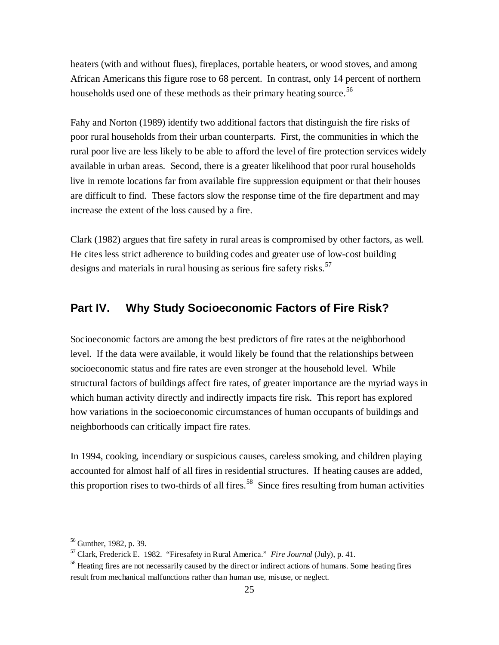heaters (with and without flues), fireplaces, portable heaters, or wood stoves, and among African Americans this figure rose to 68 percent. In contrast, only 14 percent of northern households used one of these methods as their primary heating source.<sup>56</sup>

Fahy and Norton (1989) identify two additional factors that distinguish the fire risks of poor rural households from their urban counterparts. First, the communities in which the rural poor live are less likely to be able to afford the level of fire protection services widely available in urban areas. Second, there is a greater likelihood that poor rural households live in remote locations far from available fire suppression equipment or that their houses are difficult to find. These factors slow the response time of the fire department and may increase the extent of the loss caused by a fire.

Clark (1982) argues that fire safety in rural areas is compromised by other factors, as well. He cites less strict adherence to building codes and greater use of low-cost building designs and materials in rural housing as serious fire safety risks.<sup>57</sup>

# **Part IV. Why Study Socioeconomic Factors of Fire Risk?**

Socioeconomic factors are among the best predictors of fire rates at the neighborhood level. If the data were available, it would likely be found that the relationships between socioeconomic status and fire rates are even stronger at the household level. While structural factors of buildings affect fire rates, of greater importance are the myriad ways in which human activity directly and indirectly impacts fire risk. This report has explored how variations in the socioeconomic circumstances of human occupants of buildings and neighborhoods can critically impact fire rates.

In 1994, cooking, incendiary or suspicious causes, careless smoking, and children playing accounted for almost half of all fires in residential structures. If heating causes are added, this proportion rises to two-thirds of all fires.<sup>58</sup> Since fires resulting from human activities

<sup>56</sup> Gunther, 1982, p. 39.

<sup>57</sup> Clark, Frederick E. 1982. "Firesafety in Rural America." *Fire Journal* (July), p. 41.

<sup>&</sup>lt;sup>58</sup> Heating fires are not necessarily caused by the direct or indirect actions of humans. Some heating fires result from mechanical malfunctions rather than human use, misuse, or neglect.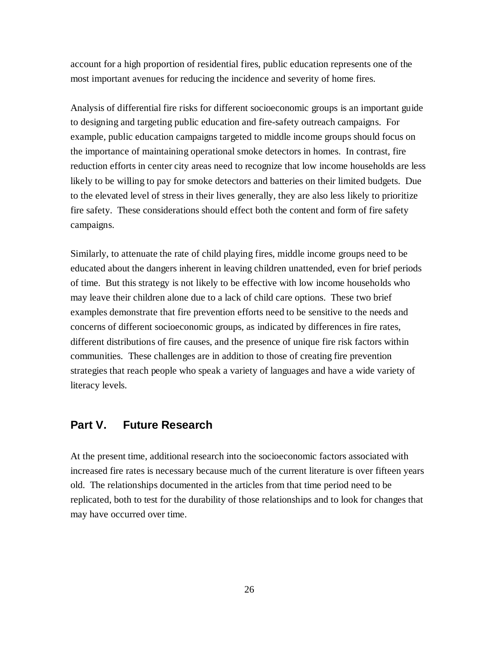account for a high proportion of residential fires, public education represents one of the most important avenues for reducing the incidence and severity of home fires.

Analysis of differential fire risks for different socioeconomic groups is an important guide to designing and targeting public education and fire-safety outreach campaigns. For example, public education campaigns targeted to middle income groups should focus on the importance of maintaining operational smoke detectors in homes. In contrast, fire reduction efforts in center city areas need to recognize that low income households are less likely to be willing to pay for smoke detectors and batteries on their limited budgets. Due to the elevated level of stress in their lives generally, they are also less likely to prioritize fire safety. These considerations should effect both the content and form of fire safety campaigns.

Similarly, to attenuate the rate of child playing fires, middle income groups need to be educated about the dangers inherent in leaving children unattended, even for brief periods of time. But this strategy is not likely to be effective with low income households who may leave their children alone due to a lack of child care options. These two brief examples demonstrate that fire prevention efforts need to be sensitive to the needs and concerns of different socioeconomic groups, as indicated by differences in fire rates, different distributions of fire causes, and the presence of unique fire risk factors within communities. These challenges are in addition to those of creating fire prevention strategies that reach people who speak a variety of languages and have a wide variety of literacy levels.

# **Part V. Future Research**

At the present time, additional research into the socioeconomic factors associated with increased fire rates is necessary because much of the current literature is over fifteen years old. The relationships documented in the articles from that time period need to be replicated, both to test for the durability of those relationships and to look for changes that may have occurred over time.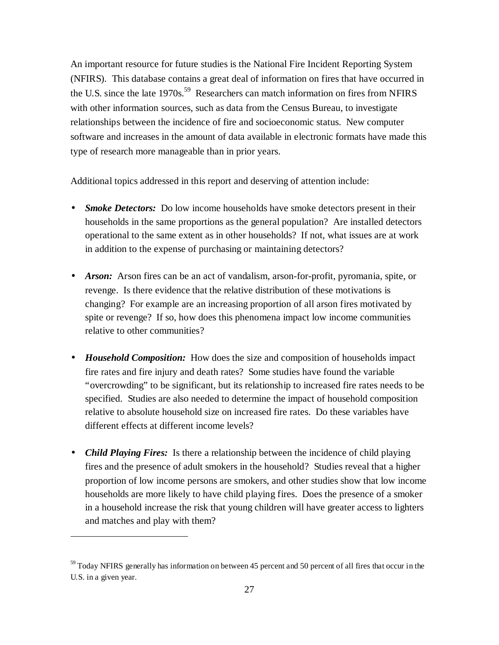An important resource for future studies is the National Fire Incident Reporting System (NFIRS). This database contains a great deal of information on fires that have occurred in the U.S. since the late  $1970s$ <sup>59</sup> Researchers can match information on fires from NFIRS with other information sources, such as data from the Census Bureau, to investigate relationships between the incidence of fire and socioeconomic status. New computer software and increases in the amount of data available in electronic formats have made this type of research more manageable than in prior years.

Additional topics addressed in this report and deserving of attention include:

- *Smoke Detectors:* Do low income households have smoke detectors present in their households in the same proportions as the general population? Are installed detectors operational to the same extent as in other households? If not, what issues are at work in addition to the expense of purchasing or maintaining detectors?
- *Arson:* Arson fires can be an act of vandalism, arson-for-profit, pyromania, spite, or revenge. Is there evidence that the relative distribution of these motivations is changing? For example are an increasing proportion of all arson fires motivated by spite or revenge? If so, how does this phenomena impact low income communities relative to other communities?
- *Household Composition:* How does the size and composition of households impact fire rates and fire injury and death rates? Some studies have found the variable "overcrowding" to be significant, but its relationship to increased fire rates needs to be specified. Studies are also needed to determine the impact of household composition relative to absolute household size on increased fire rates. Do these variables have different effects at different income levels?
- *Child Playing Fires:* Is there a relationship between the incidence of child playing fires and the presence of adult smokers in the household? Studies reveal that a higher proportion of low income persons are smokers, and other studies show that low income households are more likely to have child playing fires. Does the presence of a smoker in a household increase the risk that young children will have greater access to lighters and matches and play with them?

 $59$  Today NFIRS generally has information on between 45 percent and 50 percent of all fires that occur in the U.S. in a given year.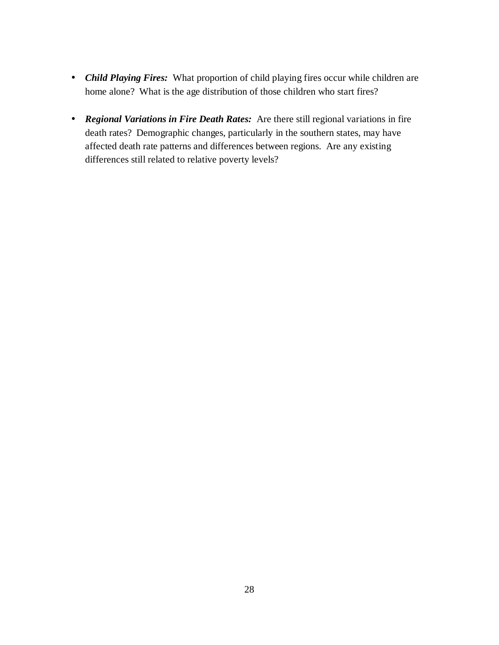- *Child Playing Fires:* What proportion of child playing fires occur while children are home alone? What is the age distribution of those children who start fires?
- *Regional Variations in Fire Death Rates:* Are there still regional variations in fire death rates? Demographic changes, particularly in the southern states, may have affected death rate patterns and differences between regions. Are any existing differences still related to relative poverty levels?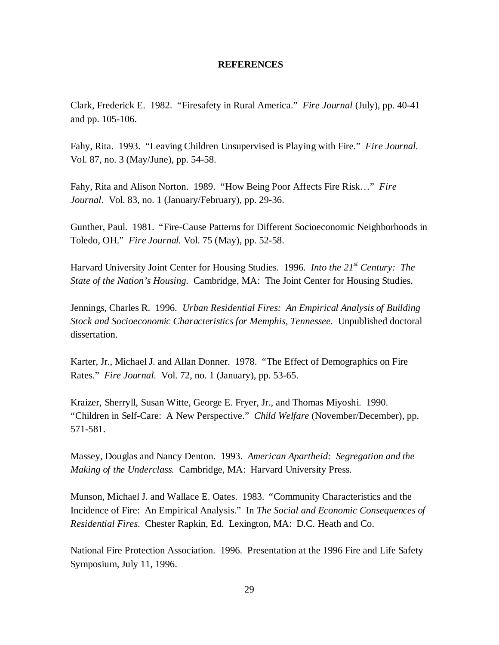#### **REFERENCES**

Clark, Frederick E. 1982. "Firesafety in Rural America." *Fire Journal* (July), pp. 40-41 and pp. 105-106.

Fahy, Rita. 1993. "Leaving Children Unsupervised is Playing with Fire." *Fire Journal.* Vol. 87, no. 3 (May/June), pp. 54-58.

Fahy, Rita and Alison Norton. 1989. "How Being Poor Affects Fire Risk…" *Fire Journal*. Vol. 83, no. 1 (January/February), pp. 29-36.

Gunther, Paul. 1981. "Fire-Cause Patterns for Different Socioeconomic Neighborhoods in Toledo, OH." *Fire Journal.* Vol. 75 (May), pp. 52-58.

Harvard University Joint Center for Housing Studies. 1996*. Into the 21st Century: The State of the Nation's Housing.* Cambridge, MA: The Joint Center for Housing Studies.

Jennings, Charles R. 1996. *Urban Residential Fires: An Empirical Analysis of Building Stock and Socioeconomic Characteristics for Memphis, Tennessee.* Unpublished doctoral dissertation.

Karter, Jr., Michael J. and Allan Donner. 1978. "The Effect of Demographics on Fire Rates." *Fire Journal.* Vol. 72, no. 1 (January), pp. 53-65.

Kraizer, Sherryll, Susan Witte, George E. Fryer, Jr., and Thomas Miyoshi. 1990. "Children in Self-Care: A New Perspective." *Child Welfare* (November/December), pp. 571-581.

Massey, Douglas and Nancy Denton. 1993. *American Apartheid: Segregation and the Making of the Underclass.* Cambridge, MA: Harvard University Press.

Munson, Michael J. and Wallace E. Oates. 1983. "Community Characteristics and the Incidence of Fire: An Empirical Analysis." In *The Social and Economic Consequences of Residential Fires*. Chester Rapkin, Ed. Lexington, MA: D.C. Heath and Co.

National Fire Protection Association. 1996. Presentation at the 1996 Fire and Life Safety Symposium, July 11, 1996.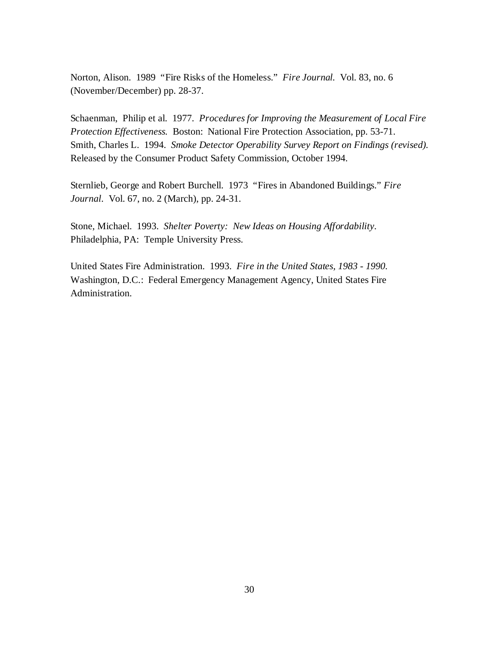Norton, Alison. 1989 "Fire Risks of the Homeless." *Fire Journal.* Vol. 83, no. 6 (November/December) pp. 28-37.

Schaenman, Philip et al. 1977. *Procedures for Improving the Measurement of Local Fire Protection Effectiveness.* Boston: National Fire Protection Association, pp. 53-71. Smith, Charles L. 1994. *Smoke Detector Operability Survey Report on Findings (revised).* Released by the Consumer Product Safety Commission, October 1994.

Sternlieb, George and Robert Burchell. 1973 "Fires in Abandoned Buildings." *Fire Journal.* Vol. 67, no. 2 (March), pp. 24-31.

Stone, Michael. 1993. *Shelter Poverty: New Ideas on Housing Affordability.* Philadelphia, PA: Temple University Press.

United States Fire Administration. 1993. *Fire in the United States, 1983 - 1990.* Washington, D.C.: Federal Emergency Management Agency, United States Fire Administration.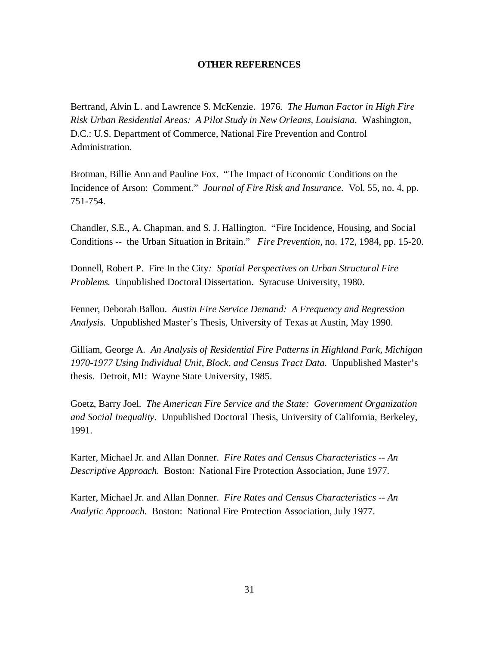#### **OTHER REFERENCES**

Bertrand, Alvin L. and Lawrence S. McKenzie. 1976*. The Human Factor in High Fire Risk Urban Residential Areas: A Pilot Study in New Orleans, Louisiana.* Washington, D.C.: U.S. Department of Commerce, National Fire Prevention and Control Administration.

Brotman, Billie Ann and Pauline Fox. "The Impact of Economic Conditions on the Incidence of Arson: Comment." *Journal of Fire Risk and Insurance.* Vol. 55, no. 4, pp. 751-754.

Chandler, S.E., A. Chapman, and S. J. Hallington. "Fire Incidence, Housing, and Social Conditions -- the Urban Situation in Britain." *Fire Prevention,* no. 172, 1984, pp. 15-20.

Donnell, Robert P. Fire In the City*: Spatial Perspectives on Urban Structural Fire Problems.* Unpublished Doctoral Dissertation. Syracuse University, 1980.

Fenner, Deborah Ballou. *Austin Fire Service Demand: A Frequency and Regression Analysis.* Unpublished Master's Thesis, University of Texas at Austin, May 1990.

Gilliam, George A. *An Analysis of Residential Fire Patterns in Highland Park, Michigan 1970-1977 Using Individual Unit, Block, and Census Tract Data.* Unpublished Master's thesis. Detroit, MI: Wayne State University, 1985.

Goetz, Barry Joel. *The American Fire Service and the State: Government Organization and Social Inequality.* Unpublished Doctoral Thesis, University of California, Berkeley, 1991.

Karter, Michael Jr. and Allan Donner. *Fire Rates and Census Characteristics -- An Descriptive Approach.* Boston: National Fire Protection Association, June 1977.

Karter, Michael Jr. and Allan Donner. *Fire Rates and Census Characteristics -- An Analytic Approach.* Boston: National Fire Protection Association, July 1977.